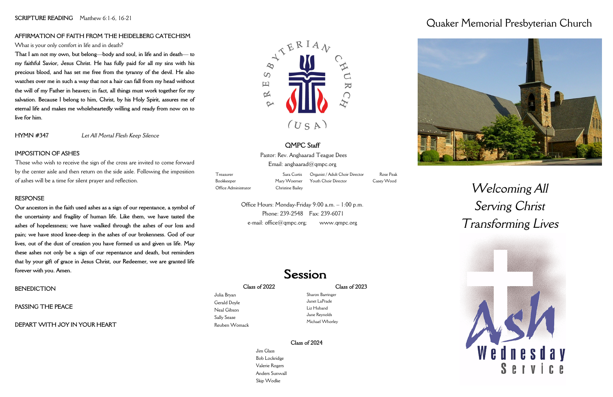### **Class of 2022**

Julia Bryan Gerald Doyle Neal Gibson Sally Sease Reuben Womack

### **Class of 2023**

Sharon Barringer Janet LaPrade Liz Huband Jane Reynolds Michael Whorley

Pastor: Rev. Anghaarad Teague Dees Email: anghaarad@qmpc.org

# Quaker Memorial Presbyterian Church

# *Welcoming All Serving Christ Transforming Lives*



# **QMPC Staff**

Bookkeeper Mary Woerner Office Administrator Christine Bailey

Organist / Adult Choir Director Rose Peak Youth Choir Director Casey Wood

Office Hours: Monday-Friday 9:00 a.m. – 1:00 p.m. Phone: 239-2548 Fax: 239-6071 e-mail: office@qmpc.org; www.qmpc.org

# Session

Treasurer Sara Curtis

# **AFFIRMATION OF FAITH FROM THE HEIDELBERG CATECHISM**

### What is your only comfort in life and in death?

**That I am not my own, but belong—body and soul, in life and in death— to my faithful Savior, Jesus Christ. He has fully paid for all my sins with his precious blood, and has set me free from the tyranny of the devil. He also watches over me in such a way that not a hair can fall from my head without the will of my Father in heaven; in fact, all things must work together for my salvation. Because I belong to him, Christ, by his Holy Spirit, assures me of eternal life and makes me wholeheartedly willing and ready from now on to live for him.**

**HYMN #347** *Let All Mortal Flesh Keep Silence* 

# **IMPOSITION OF ASHES**

Those who wish to receive the sign of the cross are invited to come forward by the center aisle and then return on the side aisle. Following the imposition of ashes will be a time for silent prayer and reflection.

# **RESPONSE**

**Our ancestors in the faith used ashes as a sign of our repentance, a symbol of the uncertainty and fragility of human life. Like them, we have tasted the ashes of hopelessness; we have walked through the ashes of our loss and pain; we have stood knee-deep in the ashes of our brokenness. God of our lives, out of the dust of creation you have formed us and given us life. May these ashes not only be a sign of our repentance and death, but reminders that by your gift of grace in Jesus Christ, our Redeemer, we are granted life forever with you. Amen.**

# **BENEDICTION**

# **PASSING THE PEACE**

# **DEPART WITH JOY IN YOUR HEART**



# **Class of 2024**

Jim Glass Bob Lockridge Valerie Rogers Anders Sunwall Skip Wodke